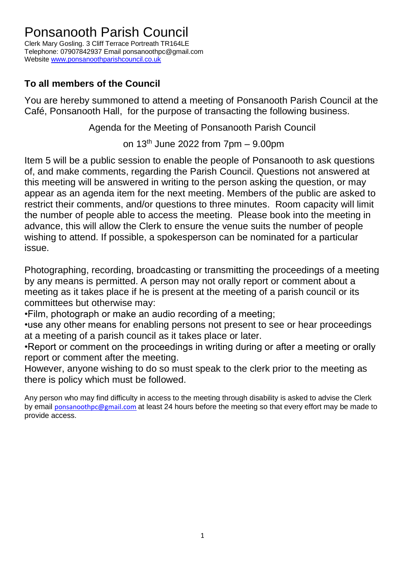## Ponsanooth Parish Council

Clerk Mary Gosling. 3 Cliff Terrace Portreath TR164LE Telephone: 07907842937 Email ponsanoothpc@gmail.com Website [www.ponsanoothparishcouncil.co.uk](http://www.ponsanoothparishcouncil.co.uk/)

## **To all members of the Council**

You are hereby summoned to attend a meeting of Ponsanooth Parish Council at the Café, Ponsanooth Hall, for the purpose of transacting the following business.

Agenda for the Meeting of Ponsanooth Parish Council

on  $13<sup>th</sup>$  June 2022 from  $7pm - 9.00pm$ 

Item 5 will be a public session to enable the people of Ponsanooth to ask questions of, and make comments, regarding the Parish Council. Questions not answered at this meeting will be answered in writing to the person asking the question, or may appear as an agenda item for the next meeting. Members of the public are asked to restrict their comments, and/or questions to three minutes. Room capacity will limit the number of people able to access the meeting. Please book into the meeting in advance, this will allow the Clerk to ensure the venue suits the number of people wishing to attend. If possible, a spokesperson can be nominated for a particular issue.

Photographing, recording, broadcasting or transmitting the proceedings of a meeting by any means is permitted. A person may not orally report or comment about a meeting as it takes place if he is present at the meeting of a parish council or its committees but otherwise may:

•Film, photograph or make an audio recording of a meeting;

•use any other means for enabling persons not present to see or hear proceedings at a meeting of a parish council as it takes place or later.

•Report or comment on the proceedings in writing during or after a meeting or orally report or comment after the meeting.

However, anyone wishing to do so must speak to the clerk prior to the meeting as there is policy which must be followed.

Any person who may find difficulty in access to the meeting through disability is asked to advise the Clerk by email [ponsanoothpc@gmail.com](mailto:ponsanoothpc@gmail.com) at least 24 hours before the meeting so that every effort may be made to provide access.